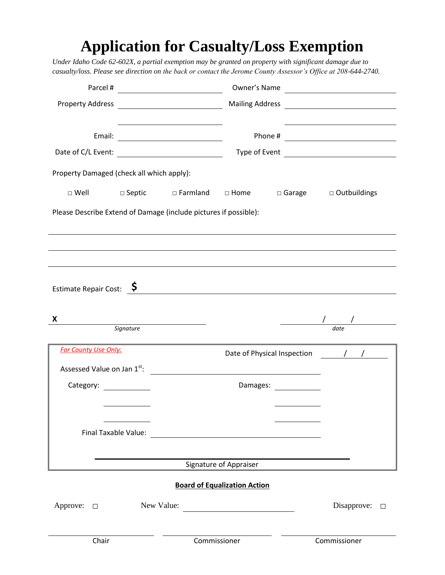## **Application for Casualty/Loss Exemption**

*Under Idaho Code 62-602X, a partial exemption may be granted on property with significant damage due to casualty/loss. Please see direction on the back or contact the Jerome County Assessor's Office at 208-644-2740.*

|                                           |                                                                                                                | Owner's Name                    |
|-------------------------------------------|----------------------------------------------------------------------------------------------------------------|---------------------------------|
|                                           |                                                                                                                |                                 |
|                                           |                                                                                                                |                                 |
|                                           |                                                                                                                |                                 |
|                                           |                                                                                                                |                                 |
| Property Damaged (check all which apply): |                                                                                                                |                                 |
|                                           | □ Well intervention on Farmland intervention intervention of Default intervention in Default intervention in D |                                 |
|                                           | Please Describe Extend of Damage (include pictures if possible):                                               |                                 |
|                                           |                                                                                                                |                                 |
|                                           |                                                                                                                |                                 |
|                                           |                                                                                                                |                                 |
| Estimate Repair Cost: <b>Ş</b>            |                                                                                                                |                                 |
|                                           |                                                                                                                |                                 |
| X                                         |                                                                                                                | $\sqrt{2}$                      |
| Signature                                 |                                                                                                                |                                 |
| <b>For County Use Only:</b>               |                                                                                                                | Date of Physical Inspection ( ) |
|                                           | Assessed Value on Jan 1 <sup>st</sup> : <u>__________________________________</u>                              |                                 |
| Category:                                 | Damages: No. 1999                                                                                              |                                 |
|                                           |                                                                                                                |                                 |
|                                           |                                                                                                                |                                 |
| Final Taxable Value:                      |                                                                                                                |                                 |
|                                           |                                                                                                                |                                 |
|                                           |                                                                                                                |                                 |
|                                           | Signature of Appraiser                                                                                         |                                 |
|                                           | <b>Board of Equalization Action</b>                                                                            |                                 |
| Approve: $\square$                        | New Value:                                                                                                     | Disapprove:<br>$\Box$           |
|                                           |                                                                                                                |                                 |